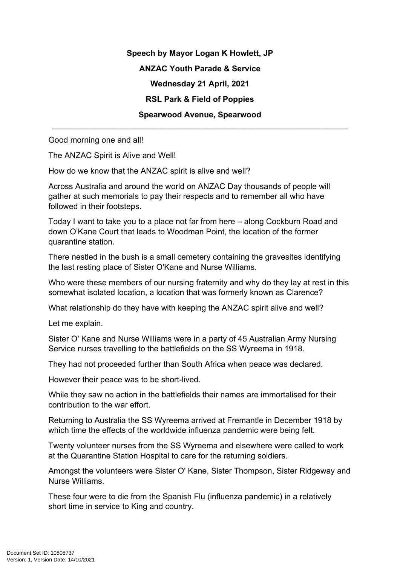**Speech by Mayor Logan K Howlett, JP ANZAC Youth Parade & Service Wednesday 21 April, 2021 RSL Park & Field of Poppies Spearwood Avenue, Spearwood**

\_\_\_\_\_\_\_\_\_\_\_\_\_\_\_\_\_\_\_\_\_\_\_\_\_\_\_\_\_\_\_\_\_\_\_\_\_\_\_\_\_\_\_\_\_\_\_\_\_\_\_\_\_\_\_\_\_\_\_\_\_\_\_\_\_\_

Good morning one and all!

The ANZAC Spirit is Alive and Well!

How do we know that the ANZAC spirit is alive and well?

Across Australia and around the world on ANZAC Day thousands of people will gather at such memorials to pay their respects and to remember all who have followed in their footsteps.

Today I want to take you to a place not far from here – along Cockburn Road and down O'Kane Court that leads to Woodman Point, the location of the former quarantine station.

There nestled in the bush is a small cemetery containing the gravesites identifying the last resting place of Sister O'Kane and Nurse Williams.

Who were these members of our nursing fraternity and why do they lay at rest in this somewhat isolated location, a location that was formerly known as Clarence?

What relationship do they have with keeping the ANZAC spirit alive and well?

Let me explain.

Sister O' Kane and Nurse Williams were in a party of 45 Australian Army Nursing Service nurses travelling to the battlefields on the SS Wyreema in 1918.

They had not proceeded further than South Africa when peace was declared.

However their peace was to be short-lived.

While they saw no action in the battlefields their names are immortalised for their contribution to the war effort.

Returning to Australia the SS Wyreema arrived at Fremantle in December 1918 by which time the effects of the worldwide influenza pandemic were being felt.

Twenty volunteer nurses from the SS Wyreema and elsewhere were called to work at the Quarantine Station Hospital to care for the returning soldiers.

Amongst the volunteers were Sister O' Kane, Sister Thompson, Sister Ridgeway and Nurse Williams.

These four were to die from the Spanish Flu (influenza pandemic) in a relatively short time in service to King and country.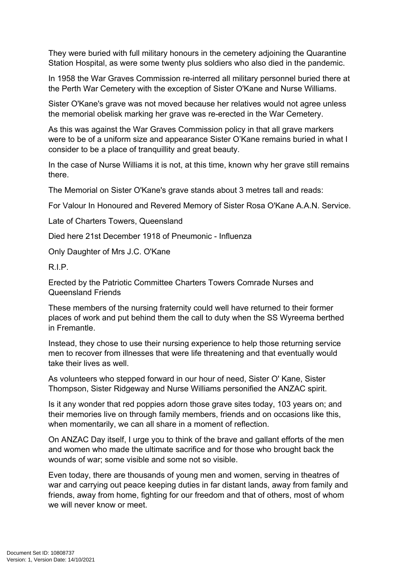They were buried with full military honours in the cemetery adjoining the Quarantine Station Hospital, as were some twenty plus soldiers who also died in the pandemic.

In 1958 the War Graves Commission re-interred all military personnel buried there at the Perth War Cemetery with the exception of Sister O'Kane and Nurse Williams.

Sister O'Kane's grave was not moved because her relatives would not agree unless the memorial obelisk marking her grave was re-erected in the War Cemetery.

As this was against the War Graves Commission policy in that all grave markers were to be of a uniform size and appearance Sister O'Kane remains buried in what I consider to be a place of tranquillity and great beauty.

In the case of Nurse Williams it is not, at this time, known why her grave still remains there.

The Memorial on Sister O'Kane's grave stands about 3 metres tall and reads:

For Valour In Honoured and Revered Memory of Sister Rosa O'Kane A.A.N. Service.

Late of Charters Towers, Queensland

Died here 21st December 1918 of Pneumonic - Influenza

Only Daughter of Mrs J.C. O'Kane

R.I.P.

Erected by the Patriotic Committee Charters Towers Comrade Nurses and Queensland Friends

These members of the nursing fraternity could well have returned to their former places of work and put behind them the call to duty when the SS Wyreema berthed in Fremantle.

Instead, they chose to use their nursing experience to help those returning service men to recover from illnesses that were life threatening and that eventually would take their lives as well.

As volunteers who stepped forward in our hour of need, Sister O' Kane, Sister Thompson, Sister Ridgeway and Nurse Williams personified the ANZAC spirit.

Is it any wonder that red poppies adorn those grave sites today, 103 years on; and their memories live on through family members, friends and on occasions like this, when momentarily, we can all share in a moment of reflection.

On ANZAC Day itself, I urge you to think of the brave and gallant efforts of the men and women who made the ultimate sacrifice and for those who brought back the wounds of war; some visible and some not so visible.

Even today, there are thousands of young men and women, serving in theatres of war and carrying out peace keeping duties in far distant lands, away from family and friends, away from home, fighting for our freedom and that of others, most of whom we will never know or meet.